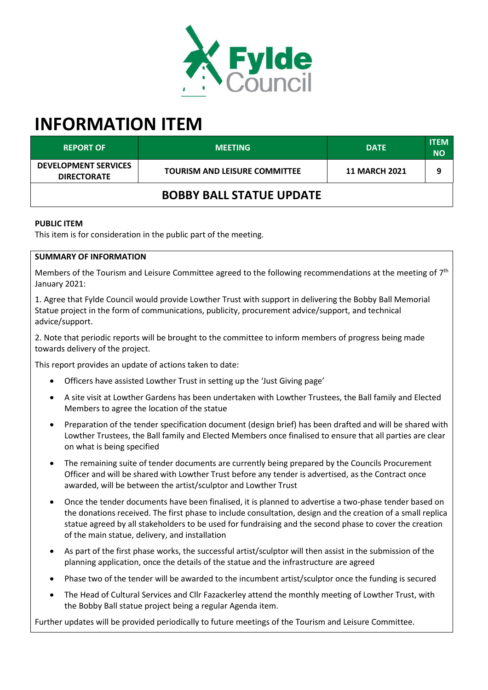

# **INFORMATION ITEM**

| <b>REPORT OF</b>                                  | <b>MEETING</b>                       | <b>DATE</b>          | <b>ITEM</b><br><b>NO</b> |
|---------------------------------------------------|--------------------------------------|----------------------|--------------------------|
| <b>DEVELOPMENT SERVICES</b><br><b>DIRECTORATE</b> | <b>TOURISM AND LEISURE COMMITTEE</b> | <b>11 MARCH 2021</b> | q                        |
| <b>BOBBY BALL STATUE UPDATE</b>                   |                                      |                      |                          |

### **PUBLIC ITEM**

This item is for consideration in the public part of the meeting.

#### **SUMMARY OF INFORMATION**

Members of the Tourism and Leisure Committee agreed to the following recommendations at the meeting of  $7<sup>th</sup>$ January 2021:

1. Agree that Fylde Council would provide Lowther Trust with support in delivering the Bobby Ball Memorial Statue project in the form of communications, publicity, procurement advice/support, and technical advice/support.

2. Note that periodic reports will be brought to the committee to inform members of progress being made towards delivery of the project.

This report provides an update of actions taken to date:

- Officers have assisted Lowther Trust in setting up the 'Just Giving page'
- A site visit at Lowther Gardens has been undertaken with Lowther Trustees, the Ball family and Elected Members to agree the location of the statue
- Preparation of the tender specification document (design brief) has been drafted and will be shared with Lowther Trustees, the Ball family and Elected Members once finalised to ensure that all parties are clear on what is being specified
- The remaining suite of tender documents are currently being prepared by the Councils Procurement Officer and will be shared with Lowther Trust before any tender is advertised, as the Contract once awarded, will be between the artist/sculptor and Lowther Trust
- Once the tender documents have been finalised, it is planned to advertise a two-phase tender based on the donations received. The first phase to include consultation, design and the creation of a small replica statue agreed by all stakeholders to be used for fundraising and the second phase to cover the creation of the main statue, delivery, and installation
- As part of the first phase works, the successful artist/sculptor will then assist in the submission of the planning application, once the details of the statue and the infrastructure are agreed
- Phase two of the tender will be awarded to the incumbent artist/sculptor once the funding is secured
- The Head of Cultural Services and Cllr Fazackerley attend the monthly meeting of Lowther Trust, with the Bobby Ball statue project being a regular Agenda item.

Further updates will be provided periodically to future meetings of the Tourism and Leisure Committee.